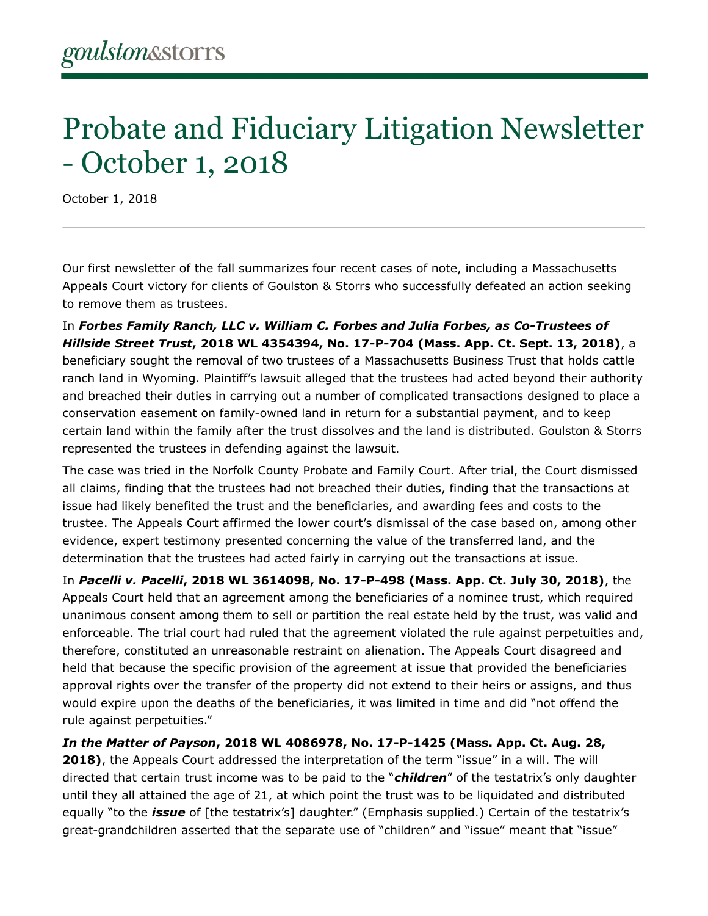## Probate and Fiduciary Litigation Newsletter - October 1, 2018

October 1, 2018

Our first newsletter of the fall summarizes four recent cases of note, including a Massachusetts Appeals Court victory for clients of Goulston & Storrs who successfully defeated an action seeking to remove them as trustees.

In *Forbes Family Ranch, LLC v. William C. Forbes and Julia Forbes, as Co-Trustees of Hillside Street Trust***, 2018 WL 4354394, No. 17-P-704 (Mass. App. Ct. Sept. 13, 2018)**, a beneficiary sought the removal of two trustees of a Massachusetts Business Trust that holds cattle ranch land in Wyoming. Plaintiff's lawsuit alleged that the trustees had acted beyond their authority and breached their duties in carrying out a number of complicated transactions designed to place a conservation easement on family-owned land in return for a substantial payment, and to keep certain land within the family after the trust dissolves and the land is distributed. Goulston & Storrs represented the trustees in defending against the lawsuit.

The case was tried in the Norfolk County Probate and Family Court. After trial, the Court dismissed all claims, finding that the trustees had not breached their duties, finding that the transactions at issue had likely benefited the trust and the beneficiaries, and awarding fees and costs to the trustee. The Appeals Court affirmed the lower court's dismissal of the case based on, among other evidence, expert testimony presented concerning the value of the transferred land, and the determination that the trustees had acted fairly in carrying out the transactions at issue.

In *Pacelli v. Pacelli***, 2018 WL 3614098, No. 17-P-498 (Mass. App. Ct. July 30, 2018)**, the Appeals Court held that an agreement among the beneficiaries of a nominee trust, which required unanimous consent among them to sell or partition the real estate held by the trust, was valid and enforceable. The trial court had ruled that the agreement violated the rule against perpetuities and, therefore, constituted an unreasonable restraint on alienation. The Appeals Court disagreed and held that because the specific provision of the agreement at issue that provided the beneficiaries approval rights over the transfer of the property did not extend to their heirs or assigns, and thus would expire upon the deaths of the beneficiaries, it was limited in time and did "not offend the rule against perpetuities."

*In the Matter of Payson***, 2018 WL 4086978, No. 17-P-1425 (Mass. App. Ct. Aug. 28, 2018)**, the Appeals Court addressed the interpretation of the term "issue" in a will. The will directed that certain trust income was to be paid to the "*children*" of the testatrix's only daughter until they all attained the age of 21, at which point the trust was to be liquidated and distributed equally "to the *issue* of [the testatrix's] daughter." (Emphasis supplied.) Certain of the testatrix's great-grandchildren asserted that the separate use of "children" and "issue" meant that "issue"